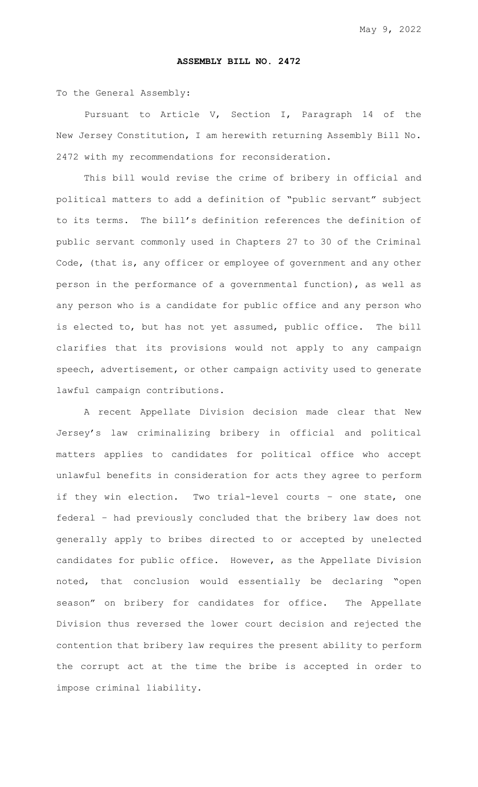## **ASSEMBLY BILL NO. 2472**

To the General Assembly:

Pursuant to Article V, Section I, Paragraph 14 of the New Jersey Constitution, I am herewith returning Assembly Bill No. 2472 with my recommendations for reconsideration.

This bill would revise the crime of bribery in official and political matters to add a definition of "public servant" subject to its terms. The bill's definition references the definition of public servant commonly used in Chapters 27 to 30 of the Criminal Code, (that is, any officer or employee of government and any other person in the performance of a governmental function), as well as any person who is a candidate for public office and any person who is elected to, but has not yet assumed, public office. The bill clarifies that its provisions would not apply to any campaign speech, advertisement, or other campaign activity used to generate lawful campaign contributions.

A recent Appellate Division decision made clear that New Jersey's law criminalizing bribery in official and political matters applies to candidates for political office who accept unlawful benefits in consideration for acts they agree to perform if they win election. Two trial-level courts – one state, one federal – had previously concluded that the bribery law does not generally apply to bribes directed to or accepted by unelected candidates for public office. However, as the Appellate Division noted, that conclusion would essentially be declaring "open season" on bribery for candidates for office. The Appellate Division thus reversed the lower court decision and rejected the contention that bribery law requires the present ability to perform the corrupt act at the time the bribe is accepted in order to impose criminal liability.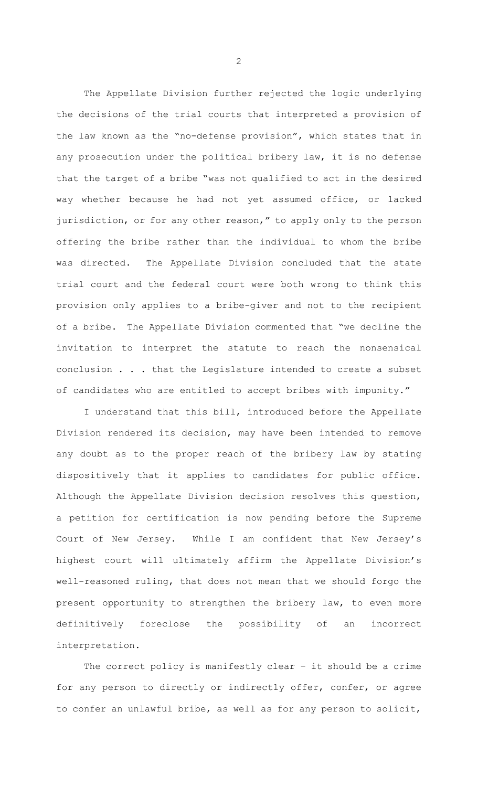The Appellate Division further rejected the logic underlying the decisions of the trial courts that interpreted a provision of the law known as the "no-defense provision", which states that in any prosecution under the political bribery law, it is no defense that the target of a bribe "was not qualified to act in the desired way whether because he had not yet assumed office, or lacked jurisdiction, or for any other reason," to apply only to the person offering the bribe rather than the individual to whom the bribe was directed. The Appellate Division concluded that the state trial court and the federal court were both wrong to think this provision only applies to a bribe-giver and not to the recipient of a bribe. The Appellate Division commented that "we decline the invitation to interpret the statute to reach the nonsensical conclusion . . . that the Legislature intended to create a subset of candidates who are entitled to accept bribes with impunity."

I understand that this bill, introduced before the Appellate Division rendered its decision, may have been intended to remove any doubt as to the proper reach of the bribery law by stating dispositively that it applies to candidates for public office. Although the Appellate Division decision resolves this question, a petition for certification is now pending before the Supreme Court of New Jersey. While I am confident that New Jersey's highest court will ultimately affirm the Appellate Division's well-reasoned ruling, that does not mean that we should forgo the present opportunity to strengthen the bribery law, to even more definitively foreclose the possibility of an incorrect interpretation.

The correct policy is manifestly clear - it should be a crime for any person to directly or indirectly offer, confer, or agree to confer an unlawful bribe, as well as for any person to solicit,

2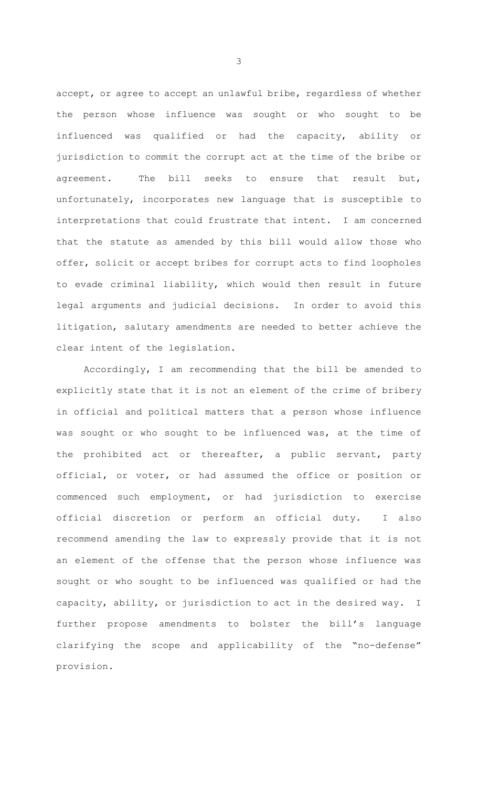accept, or agree to accept an unlawful bribe, regardless of whether the person whose influence was sought or who sought to be influenced was qualified or had the capacity, ability or jurisdiction to commit the corrupt act at the time of the bribe or agreement. The bill seeks to ensure that result but, unfortunately, incorporates new language that is susceptible to interpretations that could frustrate that intent. I am concerned that the statute as amended by this bill would allow those who offer, solicit or accept bribes for corrupt acts to find loopholes to evade criminal liability, which would then result in future legal arguments and judicial decisions. In order to avoid this litigation, salutary amendments are needed to better achieve the clear intent of the legislation.

Accordingly, I am recommending that the bill be amended to explicitly state that it is not an element of the crime of bribery in official and political matters that a person whose influence was sought or who sought to be influenced was, at the time of the prohibited act or thereafter, a public servant, party official, or voter, or had assumed the office or position or commenced such employment, or had jurisdiction to exercise official discretion or perform an official duty. I also recommend amending the law to expressly provide that it is not an element of the offense that the person whose influence was sought or who sought to be influenced was qualified or had the capacity, ability, or jurisdiction to act in the desired way. I further propose amendments to bolster the bill's language clarifying the scope and applicability of the "no-defense" provision.

3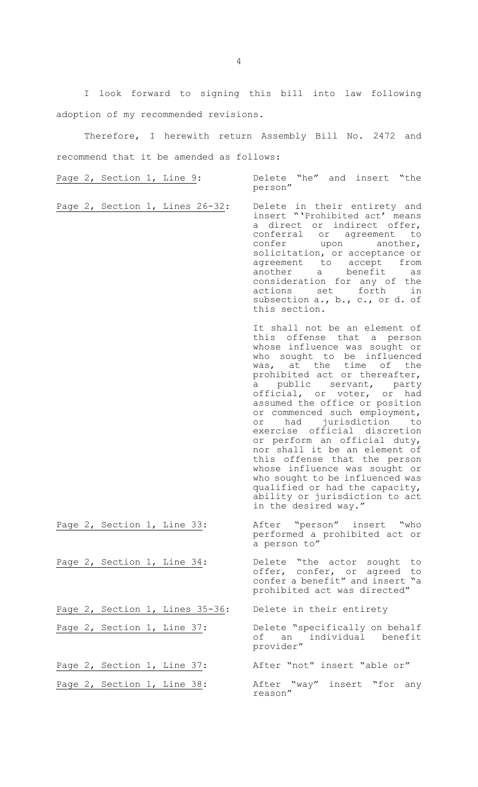I look forward to signing this bill into law following adoption of my recommended revisions.

Therefore, I herewith return Assembly Bill No. 2472 and recommend that it be amended as follows:

person"

Page 2, Section 1, Line 9: The Delete "he" and insert "the

Page 2, Section 1, Lines 26-32: Delete in their entirety and insert "'Prohibited act' means a direct or indirect offer, conferral or agreement to confer upon another, solicitation, or acceptance or agreement to accept from another a benefit as consideration for any of the actions set forth in subsection a., b., c., or d. of this section.

> It shall not be an element of this offense that a person whose influence was sought or who sought to be influenced was, at the time of the prohibited act or thereafter, a public servant, party official, or voter, or had assumed the office or position or commenced such employment, or had jurisdiction to exercise official discretion or perform an official duty, nor shall it be an element of this offense that the person whose influence was sought or who sought to be influenced was qualified or had the capacity, ability or jurisdiction to act in the desired way."

Page 2, Section 1, Line 33: After "person" insert "who performed a prohibited act or a person to"

Page 2, Section 1, Line 34: Delete "the actor sought to offer, confer, or agreed to confer a benefit" and insert "a prohibited act was directed"

Page 2, Section 1, Line 37: Delete "specifically on behalf of an individual benefit provider"

Page 2, Section 1, Line 38: After "way" insert "for any reason"

4

Page 2, Section 1, Lines 35-36: Delete in their entirety

Page 2, Section 1, Line 37: After "not" insert "able or"